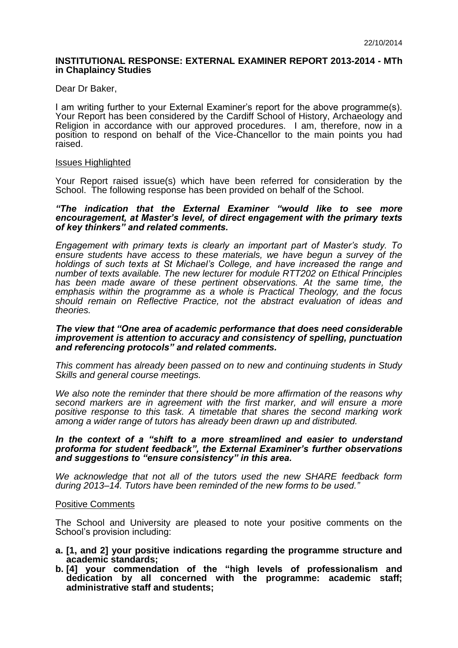## **INSTITUTIONAL RESPONSE: EXTERNAL EXAMINER REPORT 2013-2014 - MTh in Chaplaincy Studies**

Dear Dr Baker,

I am writing further to your External Examiner's report for the above programme(s). Your Report has been considered by the Cardiff School of History, Archaeology and Religion in accordance with our approved procedures. I am, therefore, now in a position to respond on behalf of the Vice-Chancellor to the main points you had raised.

#### Issues Highlighted

Your Report raised issue(s) which have been referred for consideration by the School. The following response has been provided on behalf of the School.

## *"The indication that the External Examiner "would like to see more encouragement, at Master's level, of direct engagement with the primary texts of key thinkers" and related comments.*

*Engagement with primary texts is clearly an important part of Master's study. To ensure students have access to these materials, we have begun a survey of the holdings of such texts at St Michael's College, and have increased the range and number of texts available. The new lecturer for module RTT202 on Ethical Principles has been made aware of these pertinent observations. At the same time, the emphasis within the programme as a whole is Practical Theology, and the focus should remain on Reflective Practice, not the abstract evaluation of ideas and theories.* 

#### *The view that "One area of academic performance that does need considerable improvement is attention to accuracy and consistency of spelling, punctuation and referencing protocols" and related comments.*

*This comment has already been passed on to new and continuing students in Study Skills and general course meetings.*

*We also note the reminder that there should be more affirmation of the reasons why second markers are in agreement with the first marker, and will ensure a more positive response to this task. A timetable that shares the second marking work among a wider range of tutors has already been drawn up and distributed.*

## *In the context of a "shift to a more streamlined and easier to understand proforma for student feedback", the External Examiner's further observations and suggestions to "ensure consistency" in this area.*

*We acknowledge that not all of the tutors used the new SHARE feedback form during 2013–14. Tutors have been reminded of the new forms to be used."*

## Positive Comments

The School and University are pleased to note your positive comments on the School's provision including:

- **a. [1, and 2] your positive indications regarding the programme structure and academic standards;**
- **b. [4] your commendation of the "high levels of professionalism and dedication by all concerned with the programme: academic staff; administrative staff and students;**